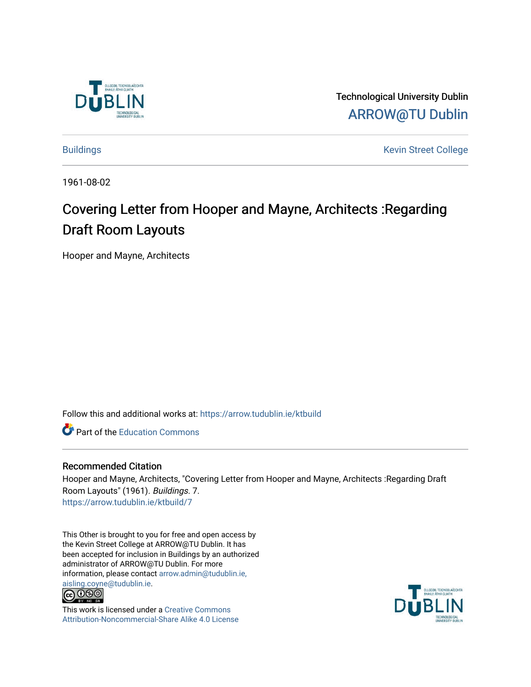

Technological University Dublin [ARROW@TU Dublin](https://arrow.tudublin.ie/) 

[Buildings](https://arrow.tudublin.ie/ktbuild) **Kevin Street College** 

1961-08-02

## Covering Letter from Hooper and Mayne, Architects :Regarding Draft Room Layouts

Hooper and Mayne, Architects

Follow this and additional works at: [https://arrow.tudublin.ie/ktbuild](https://arrow.tudublin.ie/ktbuild?utm_source=arrow.tudublin.ie%2Fktbuild%2F7&utm_medium=PDF&utm_campaign=PDFCoverPages) 

**Part of the [Education Commons](http://network.bepress.com/hgg/discipline/784?utm_source=arrow.tudublin.ie%2Fktbuild%2F7&utm_medium=PDF&utm_campaign=PDFCoverPages)** 

## Recommended Citation

Hooper and Mayne, Architects, "Covering Letter from Hooper and Mayne, Architects :Regarding Draft Room Layouts" (1961). Buildings. 7. [https://arrow.tudublin.ie/ktbuild/7](https://arrow.tudublin.ie/ktbuild/7?utm_source=arrow.tudublin.ie%2Fktbuild%2F7&utm_medium=PDF&utm_campaign=PDFCoverPages) 

This Other is brought to you for free and open access by the Kevin Street College at ARROW@TU Dublin. It has been accepted for inclusion in Buildings by an authorized administrator of ARROW@TU Dublin. For more information, please contact [arrow.admin@tudublin.ie,](mailto:arrow.admin@tudublin.ie,%20aisling.coyne@tudublin.ie)  [aisling.coyne@tudublin.ie.](mailto:arrow.admin@tudublin.ie,%20aisling.coyne@tudublin.ie)<br>@060



This work is licensed under a [Creative Commons](http://creativecommons.org/licenses/by-nc-sa/4.0/) [Attribution-Noncommercial-Share Alike 4.0 License](http://creativecommons.org/licenses/by-nc-sa/4.0/)

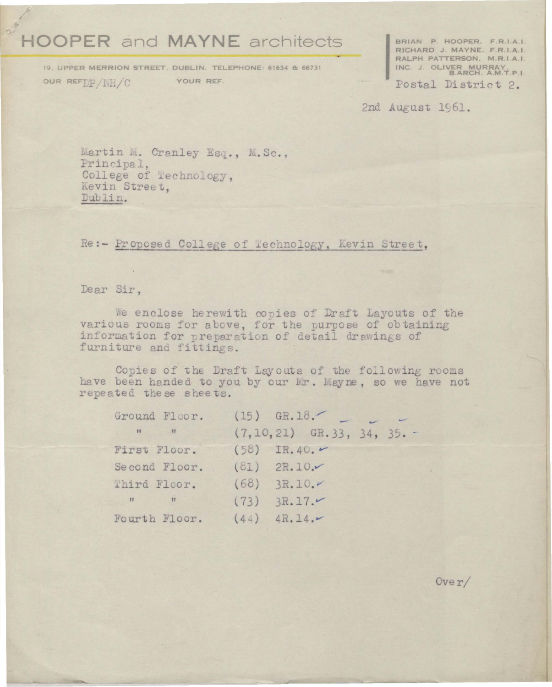## **HOOPER and MAYNE architects**

19. UPPER MERRION STREET, DUBLIN. TELEPHONE: 61634 & 66731 OUR REFILE / NH/C YOUR REF.

BRIAN P. HOOPER, F.R.I.A.I.<br>RICHARD J. MAYNE, F.R.I.A.I.<br>RALPH PATTERSON, M.R.I.A.I. INC. J. OLIVER MURRAY, P.I.

Postal District 2.

2nd August 1961.

Martin M. Cranley Esq., M. Sc., Principal, College of Technology, Kevin Street. Dublin.

Re:- Proposed College of Technology, Kevin Street,

Dear Sir,

We enclose herewith copies of Draft Layouts of the various rooms for above, for the purpose of obtaining information for preparation of detail drawings of furniture and fittings.

Copies of the Draft Layouts of the following rooms have been handed to you by our Mr. Mayne, so we have not repeated these sheets.

|  | Ground Floor. (15) GR. 18.<br>$(7, 10, 21)$ GR.33, 34, 35.<br>First Floor. $(58)$ IR.40.<br>$(81)$ 2R.10.<br>(68) 3R.10.4<br>$(73)$ 3R.17.<br>$(44)$ 4R. 14. |
|--|--------------------------------------------------------------------------------------------------------------------------------------------------------------|

 $0 \nvee r$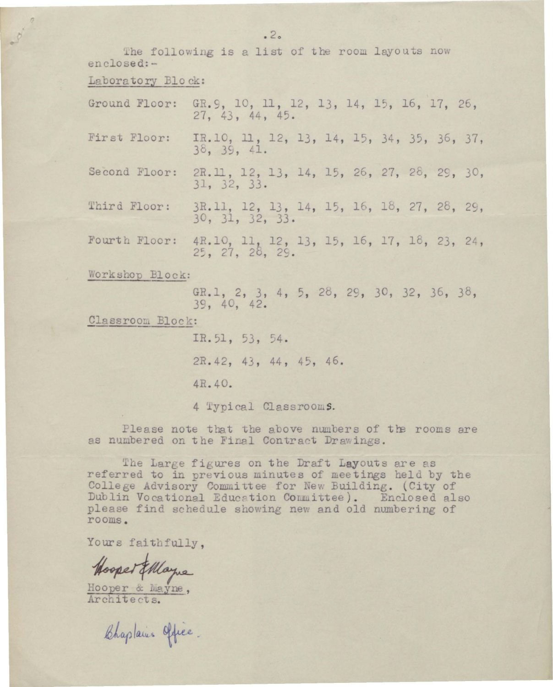The following is a list of the room layouts now enclosed:-

Laboratory Block:

- 0- 0

Ground Floor: GR.9, 10, 11, 12, 13, 14, 15, 16, 17, 26,  $27.43.44.45.$ IR.10, 11, 12, 13, 14, 15, 34, 35, 36, 37, First Floor:  $38, 39, 41.$ 2R.11, 12, 13, 14, 15, 26, 27, 28, 29, 30, Second Floor:  $31, 32, 33.$ 3R.11, 12, 13, 14, 15, 16, 18, 27, 28, 29, Third Floor:  $30, 31, 32, 33.$ 4R.10, 11, 12, 13, 15, 16, 17, 18, 23, 24, Fourth Floor:  $25, 27, 28, 29.$ Workshop Block: GR.1, 2, 3, 4, 5, 28, 29, 30, 32, 36, 38, 39, 40, 42. Classroom Block: IR.51, 53, 54. 2R. 42, 43, 44, 45, 46.

4R.40.

4 Typical Classrooms.

Please note that the above numbers of the rooms are as numbered on the Final Contract Drawings.

The Large figures on the Draft Layouts are as referred to in previous minutes of meetings held by the College Advisory Committee for New Building. (City of Dublin Vocational Education Committee). Enclosed also please find schedule showing new and old numbering of rooms.

Yours faithfully.

Hooper Ellague

Hooper & Mayne,<br>Architects.

Chaplains Office.

 $2^{2}$